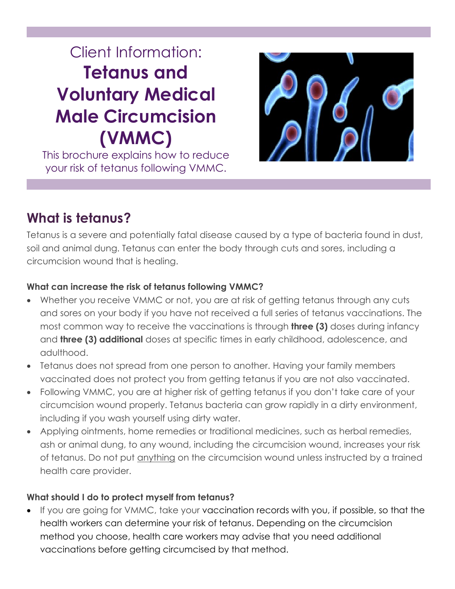# Client Information: **Tetanus and Voluntary Medical Male Circumcision (VMMC)**

This brochure explains how to reduce your risk of tetanus following VMMC.



## **What is tetanus?**

Tetanus is a severe and potentially fatal disease caused by a type of bacteria found in dust, soil and animal dung. Tetanus can enter the body through cuts and sores, including a circumcision wound that is healing.

#### **What can increase the risk of tetanus following VMMC?**

- Whether you receive VMMC or not, you are at risk of getting tetanus through any cuts and sores on your body if you have not received a full series of tetanus vaccinations. The most common way to receive the vaccinations is through **three (3)** doses during infancy and **three (3) additional** doses at specific times in early childhood, adolescence, and adulthood.
- Tetanus does not spread from one person to another. Having your family members vaccinated does not protect you from getting tetanus if you are not also vaccinated.
- Following VMMC, you are at higher risk of getting tetanus if you don't take care of your circumcision wound properly. Tetanus bacteria can grow rapidly in a dirty environment, including if you wash yourself using dirty water.
- Applying ointments, home remedies or traditional medicines, such as herbal remedies, ash or animal dung, to any wound, including the circumcision wound, increases your risk of tetanus. Do not put anything on the circumcision wound unless instructed by a trained health care provider.

#### **What should I do to protect myself from tetanus?**

If you are going for VMMC, take your vaccination records with you, if possible, so that the health workers can determine your risk of tetanus. Depending on the circumcision method you choose, health care workers may advise that you need additional vaccinations before getting circumcised by that method.